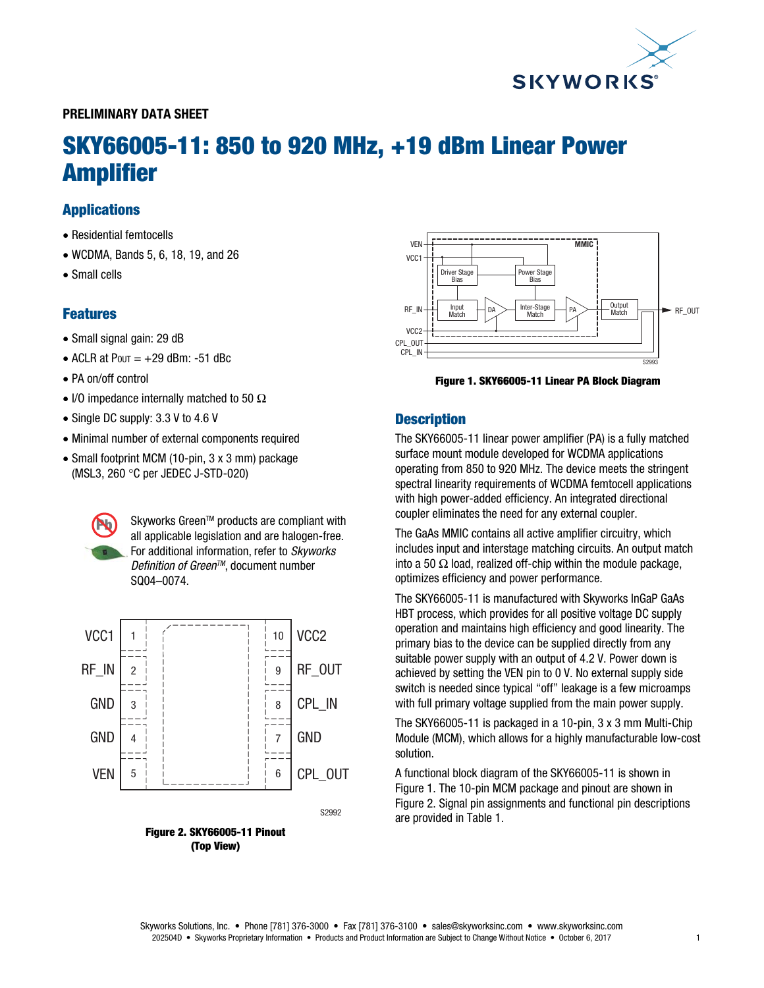

## PRELIMINARY DATA SHEET

# SKY66005-11: 850 to 920 MHz, +19 dBm Linear Power Amplifier

## Applications

- Residential femtocells
- WCDMA, Bands 5, 6, 18, 19, and 26
- Small cells

## Features

- Small signal gain: 29 dB
- $\bullet$  ACLR at Pout =  $+29$  dBm: -51 dBc
- PA on/off control
- I/O impedance internally matched to 50  $\Omega$
- Single DC supply: 3.3 V to 4.6 V
- Minimal number of external components required
- Small footprint MCM (10-pin, 3 x 3 mm) package (MSL3, 260 °C per JEDEC J-STD-020)

Skyworks Green™ products are compliant with all applicable legislation and are halogen-free. For additional information, refer to *Skyworks Definition of GreenTM*, document number SQ04–0074.



Figure 2. SKY66005-11 Pinout (Top View)



Figure 1. SKY66005-11 Linear PA Block Diagram

## **Description**

The SKY66005-11 linear power amplifier (PA) is a fully matched surface mount module developed for WCDMA applications operating from 850 to 920 MHz. The device meets the stringent spectral linearity requirements of WCDMA femtocell applications with high power-added efficiency. An integrated directional coupler eliminates the need for any external coupler.

The GaAs MMIC contains all active amplifier circuitry, which includes input and interstage matching circuits. An output match into a 50  $\Omega$  load, realized off-chip within the module package, optimizes efficiency and power performance.

The SKY66005-11 is manufactured with Skyworks InGaP GaAs HBT process, which provides for all positive voltage DC supply operation and maintains high efficiency and good linearity. The primary bias to the device can be supplied directly from any suitable power supply with an output of 4.2 V. Power down is achieved by setting the VEN pin to 0 V. No external supply side switch is needed since typical "off" leakage is a few microamps with full primary voltage supplied from the main power supply.

The SKY66005-11 is packaged in a 10-pin, 3 x 3 mm Multi-Chip Module (MCM), which allows for a highly manufacturable low-cost solution.

A functional block diagram of the SKY66005-11 is shown in Figure 1. The 10-pin MCM package and pinout are shown in Figure 2. Signal pin assignments and functional pin descriptions are provided in Table 1.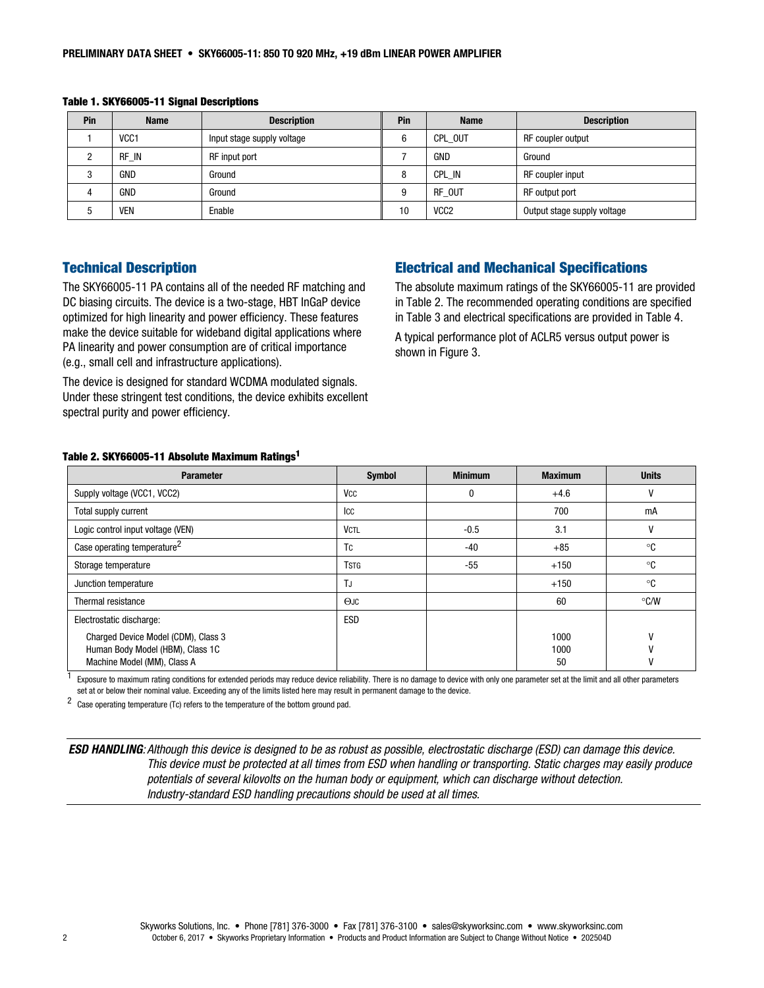| Pin | <b>Name</b>      | <b>Description</b>         | <b>Pin</b> | <b>Name</b>      | <b>Description</b>          |
|-----|------------------|----------------------------|------------|------------------|-----------------------------|
|     | VCC <sub>1</sub> | Input stage supply voltage | 6          | CPL OUT          | RF coupler output           |
|     | RF IN            | RF input port              |            | GND              | Ground                      |
|     | GND              | Ground                     | 8          | CPL IN           | RF coupler input            |
|     | GND              | Ground                     | g          | RF OUT           | RF output port              |
|     | <b>VEN</b>       | Enable                     | 10         | VCC <sub>2</sub> | Output stage supply voltage |

Table 1. SKY66005-11 Signal Descriptions

## Technical Description

The SKY66005-11 PA contains all of the needed RF matching and DC biasing circuits. The device is a two-stage, HBT InGaP device optimized for high linearity and power efficiency. These features make the device suitable for wideband digital applications where PA linearity and power consumption are of critical importance (e.g., small cell and infrastructure applications).

The device is designed for standard WCDMA modulated signals. Under these stringent test conditions, the device exhibits excellent spectral purity and power efficiency.

## Electrical and Mechanical Specifications

The absolute maximum ratings of the SKY66005-11 are provided in Table 2. The recommended operating conditions are specified in Table 3 and electrical specifications are provided in Table 4.

A typical performance plot of ACLR5 versus output power is shown in Figure 3.

#### Table 2. SKY66005-11 Absolute Maximum Ratings1

| <b>Parameter</b>                                                                                       | <b>Symbol</b> | <b>Minimum</b> | <b>Maximum</b>     | <b>Units</b> |
|--------------------------------------------------------------------------------------------------------|---------------|----------------|--------------------|--------------|
| Supply voltage (VCC1, VCC2)                                                                            | Vcc           | 0              | $+4.6$             |              |
| Total supply current                                                                                   | Icc           |                | 700                | mA           |
| Logic control input voltage (VEN)                                                                      | <b>VCTL</b>   | $-0.5$         | 3.1                |              |
| Case operating temperature <sup>2</sup>                                                                | <b>TC</b>     | -40            | $+85$              | °C           |
| Storage temperature                                                                                    | <b>TSTG</b>   | $-55$          | $+150$             | ∘c           |
| Junction temperature                                                                                   | TJ            |                | $+150$             | °C           |
| Thermal resistance                                                                                     | OJC           |                | 60                 | °C/W         |
| Electrostatic discharge:                                                                               | <b>ESD</b>    |                |                    |              |
| Charged Device Model (CDM), Class 3<br>Human Body Model (HBM), Class 1C<br>Machine Model (MM), Class A |               |                | 1000<br>1000<br>50 | ۷<br>V       |

Exposure to maximum rating conditions for extended periods may reduce device reliability. There is no damage to device with only one parameter set at the limit and all other parameters set at or below their nominal value. Exceeding any of the limits listed here may result in permanent damage to the device.

2 Case operating temperature (Tc) refers to the temperature of the bottom ground pad.

ESD HANDLING*: Although this device is designed to be as robust as possible, electrostatic discharge (ESD) can damage this device. This device must be protected at all times from ESD when handling or transporting. Static charges may easily produce potentials of several kilovolts on the human body or equipment, which can discharge without detection. Industry-standard ESD handling precautions should be used at all times.*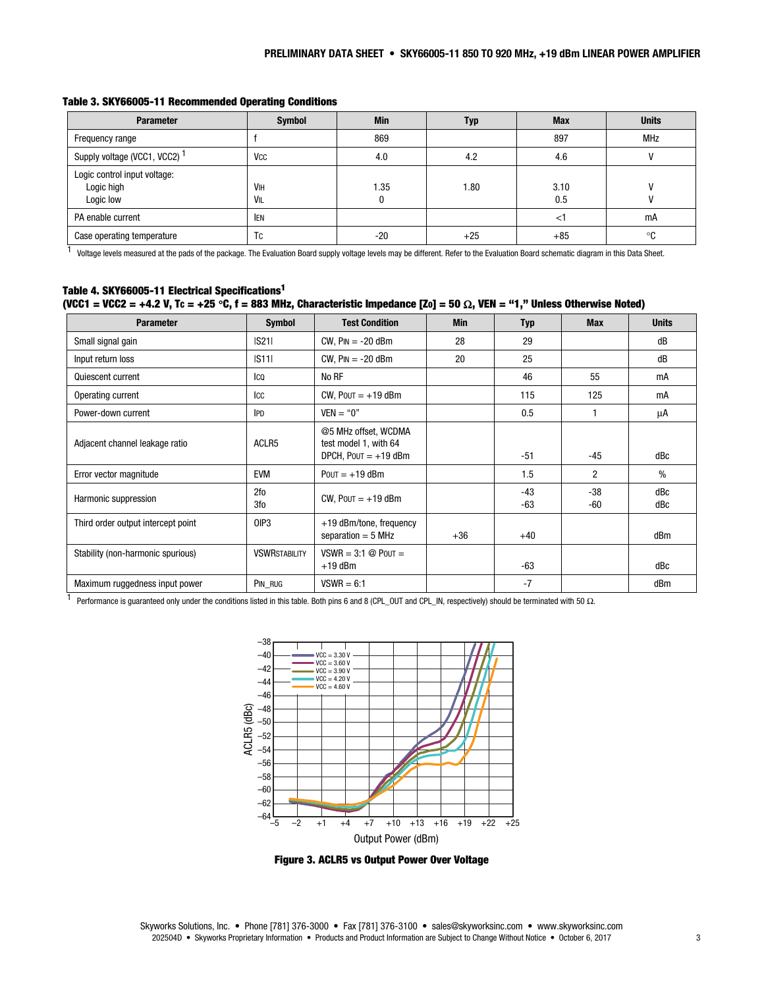| <b>Parameter</b>                                        | <b>Symbol</b>                | <b>Min</b> | Typ   | <b>Max</b>  | <b>Units</b> |
|---------------------------------------------------------|------------------------------|------------|-------|-------------|--------------|
| Frequency range                                         |                              | 869        |       | 897         | MHz          |
| Supply voltage (VCC1, VCC2) <sup>1</sup>                | <b>V<sub>CC</sub></b>        | 4.0        | 4.2   | 4.6         |              |
| Logic control input voltage:<br>Logic high<br>Logic low | <b>V<sub>IH</sub></b><br>VIL | l.35       | 1.80  | 3.10<br>0.5 |              |
| PA enable current                                       | <b>IEN</b>                   |            |       | $\leq$      | mA           |
| Case operating temperature                              | Tc                           | $-20$      | $+25$ | $+85$       | ∘c           |

#### Table 3. SKY66005-11 Recommended Operating Conditions

<sup>1</sup> Voltage levels measured at the pads of the package. The Evaluation Board supply voltage levels may be different. Refer to the Evaluation Board schematic diagram in this Data Sheet.

#### Table 4. SKY66005-11 Electrical Specifications1 (VCC1 = VCC2 = +4.2 V, Tc = +25 °C, f = 883 MHz, Characteristic Impedance [Zo] = 50  $\Omega$ , VEN = "1," Unless Otherwise Noted)

| <b>Parameter</b>                   | <b>Symbol</b>        | <b>Test Condition</b>                                                   | <b>Min</b> | <b>Typ</b> | <b>Max</b>     | <b>Units</b> |
|------------------------------------|----------------------|-------------------------------------------------------------------------|------------|------------|----------------|--------------|
| Small signal gain                  | S21                  | $CW$ , $Pin = -20$ dBm                                                  | 28         | 29         |                | dB           |
| Input return loss                  | S11                  | $CW$ , $Pin = -20$ dBm                                                  | 20         | 25         |                | dB           |
| Quiescent current                  | Ico                  | No RF                                                                   |            | 46         | 55             | mA           |
| Operating current                  | Icc                  | CW, $POUT = +19$ dBm                                                    |            | 115        | 125            | mA           |
| Power-down current                 | <b>IPD</b>           | $VEN = "0"$                                                             |            | 0.5        |                | μA           |
| Adjacent channel leakage ratio     | ACLR5                | @5 MHz offset, WCDMA<br>test model 1, with 64<br>DPCH, $POUT = +19$ dBm |            | $-51$      | -45            | dBc          |
| Error vector magnitude             | <b>EVM</b>           | $POUT = +19$ dBm                                                        |            | 1.5        | $\overline{2}$ | $\%$         |
| Harmonic suppression               | 2fo<br>3fo           | CW, $POUT = +19$ dBm                                                    |            | -43<br>-63 | $-38$<br>-60   | dBc<br>dBc   |
| Third order output intercept point | OIP <sub>3</sub>     | +19 dBm/tone, frequency<br>separation $=$ 5 MHz                         | $+36$      | $+40$      |                | dBm          |
| Stability (non-harmonic spurious)  | <b>VSWRSTABILITY</b> | $VSWR = 3:1 \otimes POUT =$<br>$+19$ dBm                                |            | $-63$      |                | dBc          |
| Maximum ruggedness input power     | PIN RUG              | $VSWR = 6:1$                                                            |            | $-7$       |                | dBm          |

1 Performance is guaranteed only under the conditions listed in this table. Both pins 6 and 8 (CPL\_OUT and CPL\_IN, respectively) should be terminated with 50 Ω.



Figure 3. ACLR5 vs Output Power Over Voltage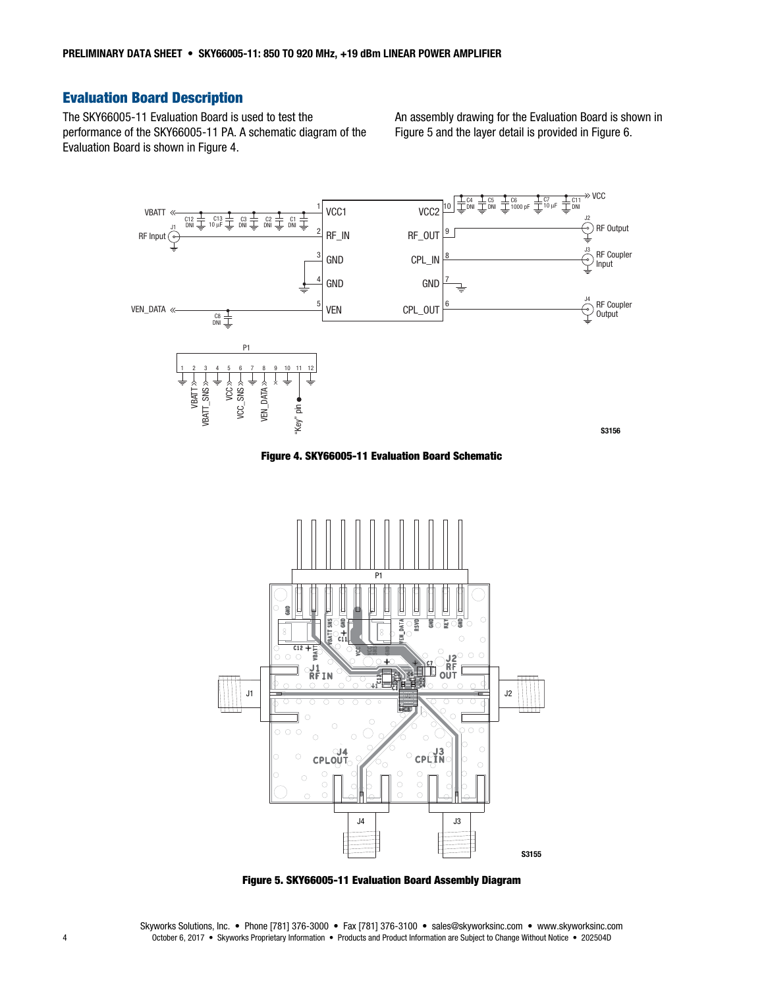# Evaluation Board Description

The SKY66005-11 Evaluation Board is used to test the performance of the SKY66005-11 PA. A schematic diagram of the Evaluation Board is shown in Figure 4.

An assembly drawing for the Evaluation Board is shown in Figure 5 and the layer detail is provided in Figure 6.



Figure 4. SKY66005-11 Evaluation Board Schematic



Figure 5. SKY66005-11 Evaluation Board Assembly Diagram

Skyworks Solutions, Inc. • Phone [781] 376-3000 • Fax [781] 376-3100 • sales@skyworksinc.com • www.skyworksinc.com 4 October 6, 2017 • Skyworks Proprietary Information • Products and Product Information are Subject to Change Without Notice • 202504D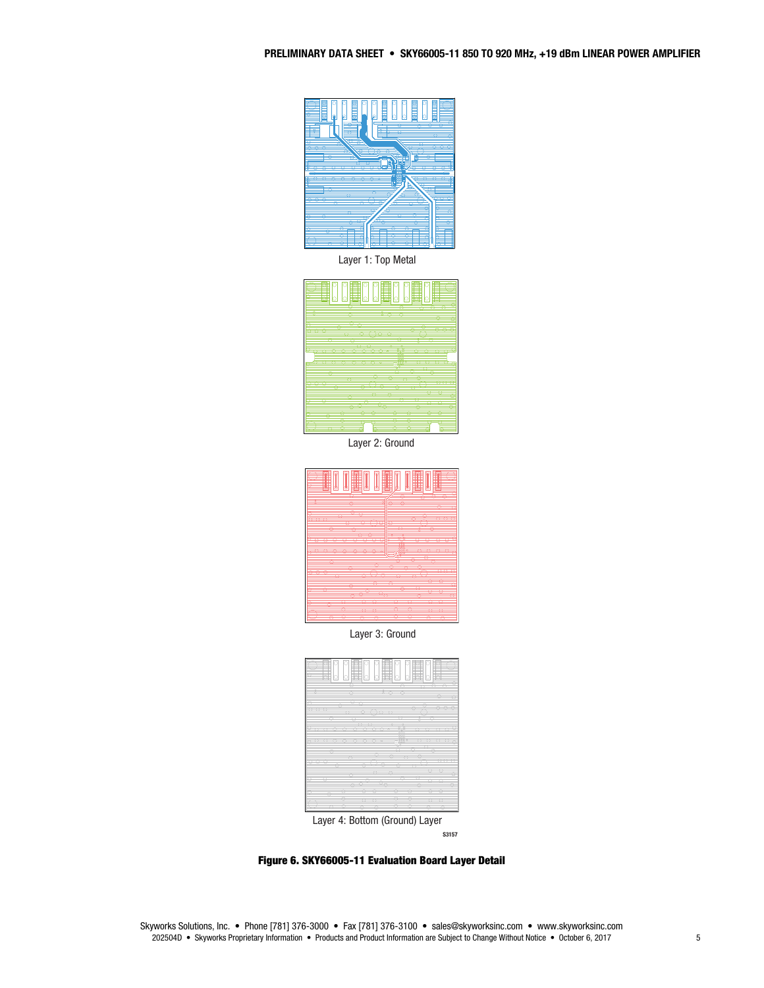

Layer 1: Top Metal



Layer 2: Ground



Layer 3: Ground



S3157

Figure 6. SKY66005-11 Evaluation Board Layer Detail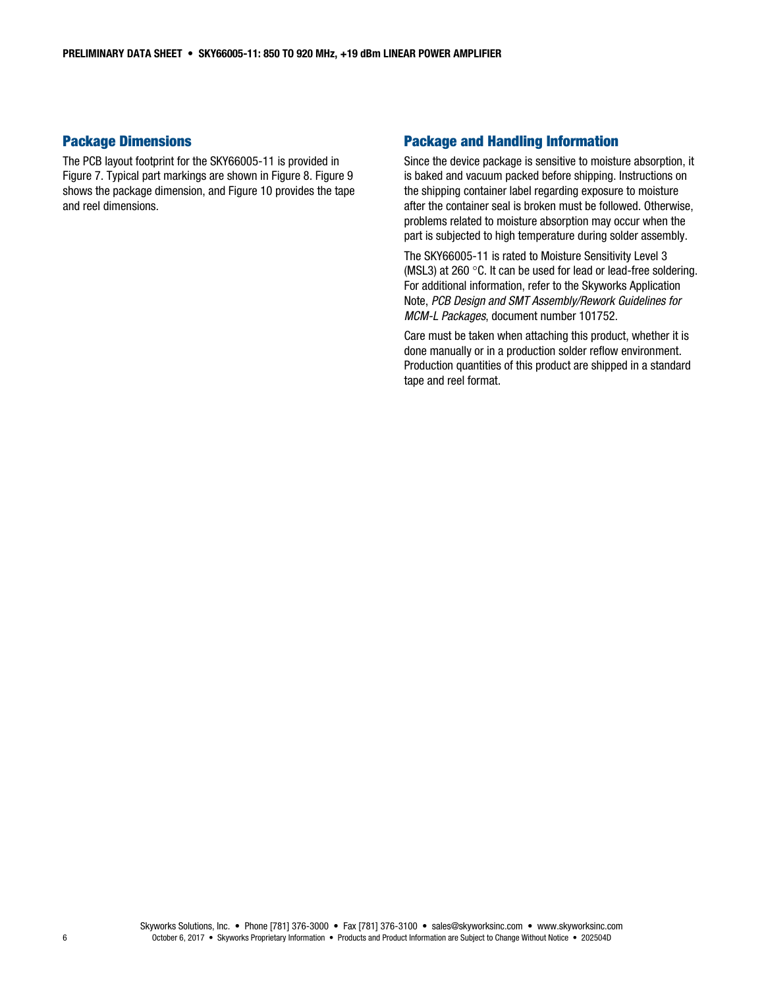#### Package Dimensions

The PCB layout footprint for the SKY66005-11 is provided in Figure 7. Typical part markings are shown in Figure 8. Figure 9 shows the package dimension, and Figure 10 provides the tape and reel dimensions.

## Package and Handling Information

Since the device package is sensitive to moisture absorption, it is baked and vacuum packed before shipping. Instructions on the shipping container label regarding exposure to moisture after the container seal is broken must be followed. Otherwise, problems related to moisture absorption may occur when the part is subjected to high temperature during solder assembly.

The SKY66005-11 is rated to Moisture Sensitivity Level 3 (MSL3) at 260 $\degree$ C. It can be used for lead or lead-free soldering. For additional information, refer to the Skyworks Application Note, *PCB Design and SMT Assembly/Rework Guidelines for MCM-L Packages*, document number 101752.

Care must be taken when attaching this product, whether it is done manually or in a production solder reflow environment. Production quantities of this product are shipped in a standard tape and reel format.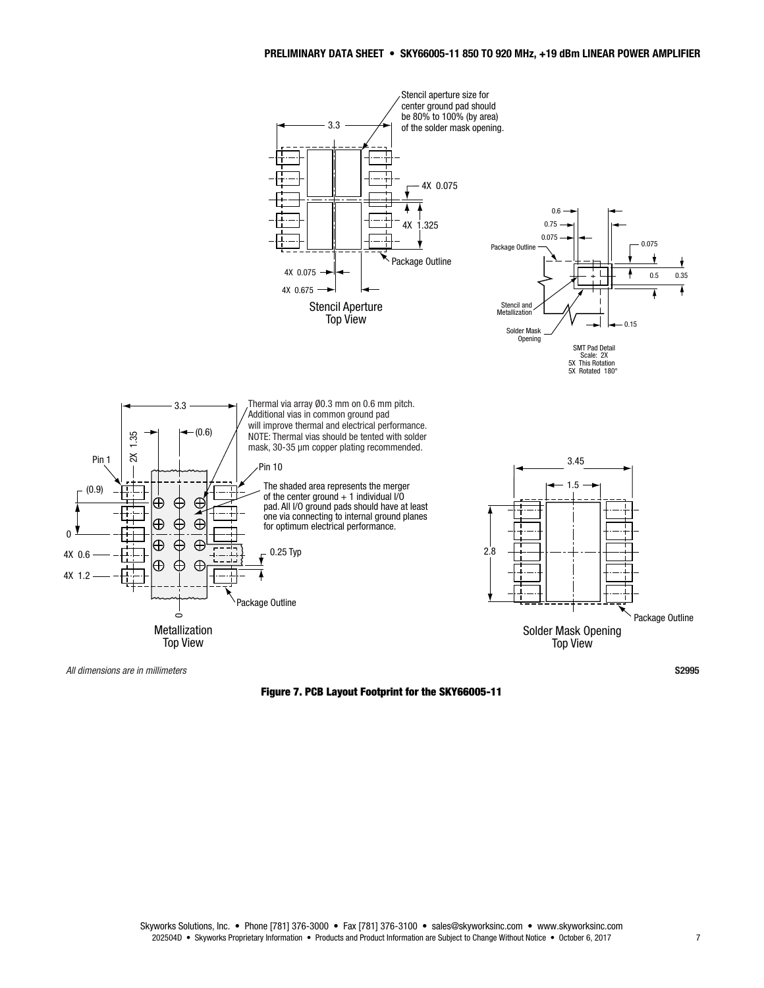

Figure 7. PCB Layout Footprint for the SKY66005-11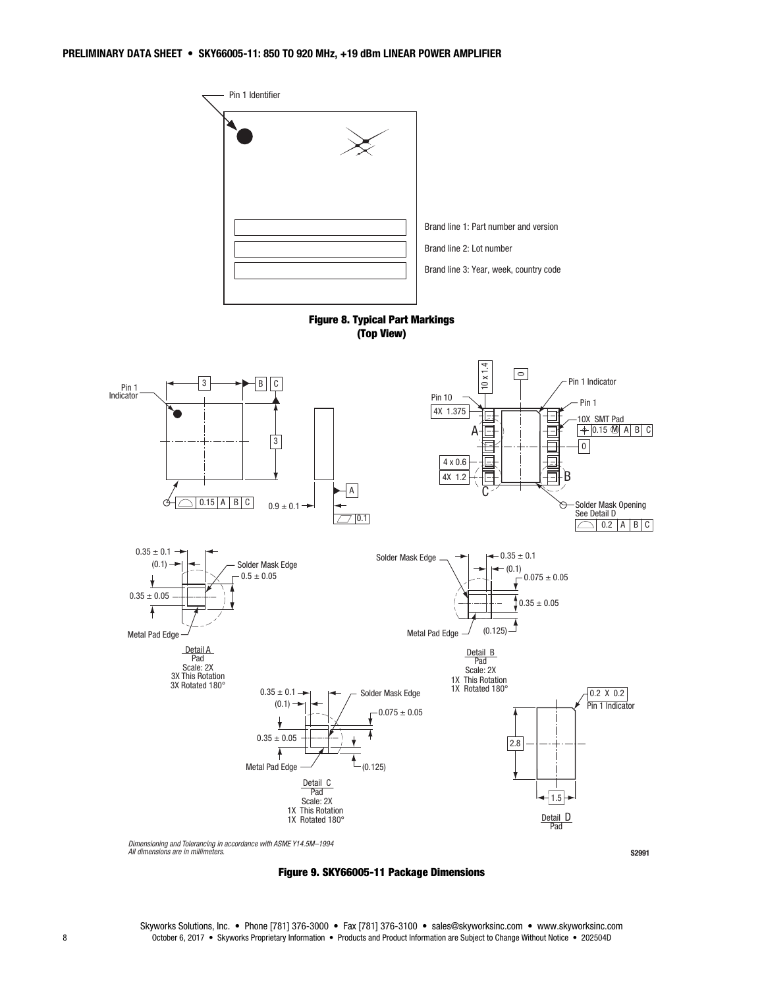

Figure 9. SKY66005-11 Package Dimensions

S2991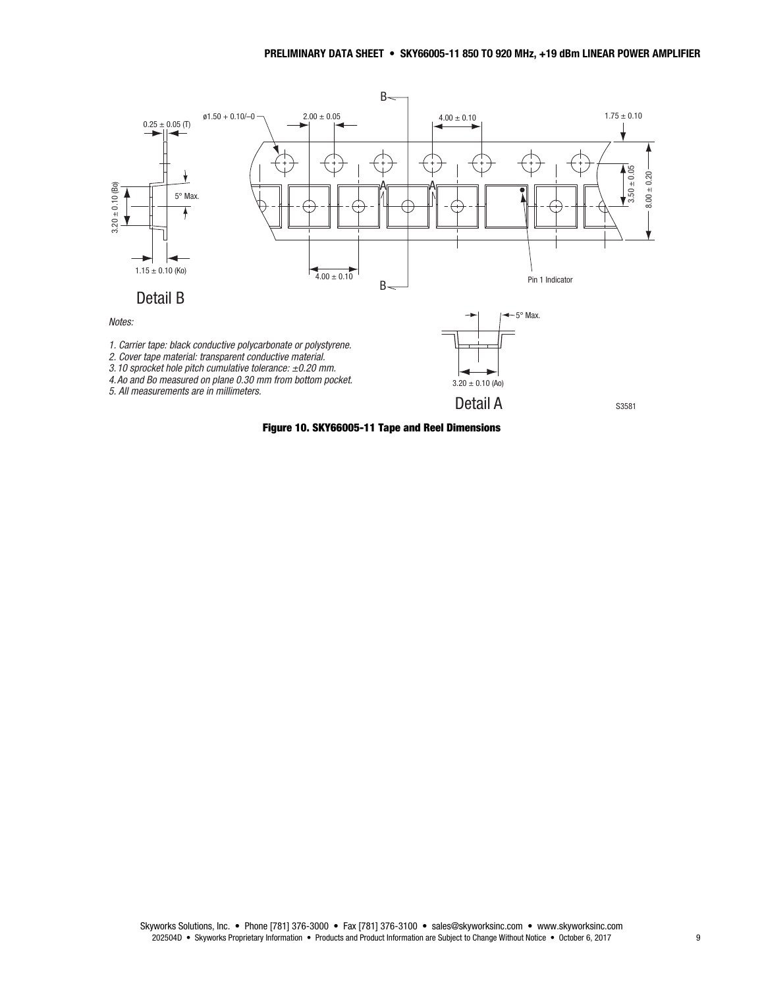

Figure 10. SKY66005-11 Tape and Reel Dimensions